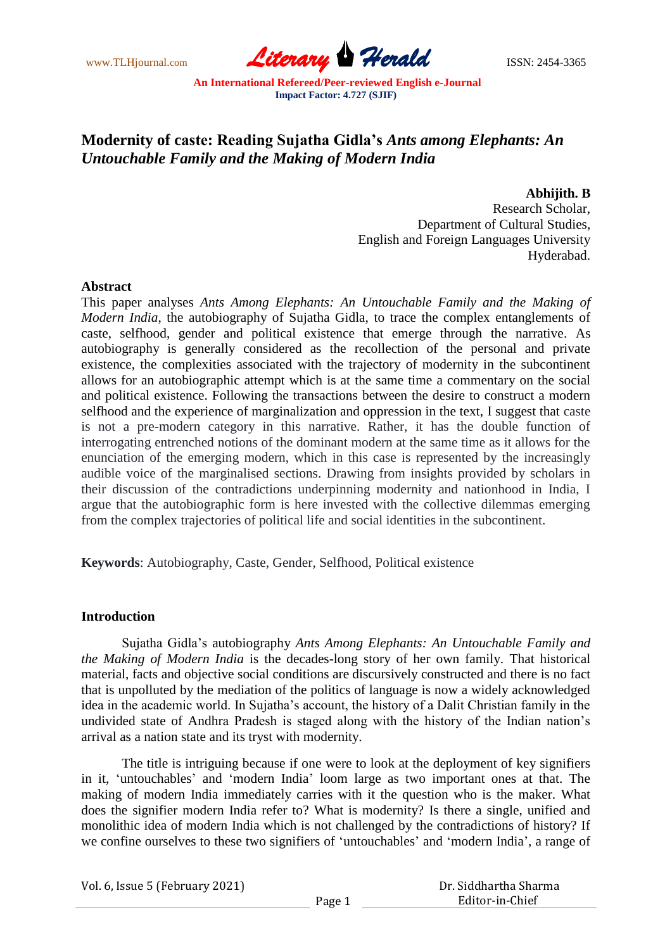www.TLHjournal.com **Literary Herald** ISSN: 2454-3365

# **Modernity of caste: Reading Sujatha Gidla's** *Ants among Elephants: An Untouchable Family and the Making of Modern India*

**Abhijith. B**

Research Scholar, Department of Cultural Studies, English and Foreign Languages University Hyderabad.

#### **Abstract**

This paper analyses *Ants Among Elephants: An Untouchable Family and the Making of Modern India*, the autobiography of Sujatha Gidla, to trace the complex entanglements of caste, selfhood, gender and political existence that emerge through the narrative. As autobiography is generally considered as the recollection of the personal and private existence, the complexities associated with the trajectory of modernity in the subcontinent allows for an autobiographic attempt which is at the same time a commentary on the social and political existence. Following the transactions between the desire to construct a modern selfhood and the experience of marginalization and oppression in the text, I suggest that caste is not a pre-modern category in this narrative. Rather, it has the double function of interrogating entrenched notions of the dominant modern at the same time as it allows for the enunciation of the emerging modern, which in this case is represented by the increasingly audible voice of the marginalised sections. Drawing from insights provided by scholars in their discussion of the contradictions underpinning modernity and nationhood in India, I argue that the autobiographic form is here invested with the collective dilemmas emerging from the complex trajectories of political life and social identities in the subcontinent.

**Keywords**: Autobiography, Caste, Gender, Selfhood, Political existence

## **Introduction**

Sujatha Gidla"s autobiography *Ants Among Elephants: An Untouchable Family and the Making of Modern India* is the decades-long story of her own family. That historical material, facts and objective social conditions are discursively constructed and there is no fact that is unpolluted by the mediation of the politics of language is now a widely acknowledged idea in the academic world. In Sujatha"s account, the history of a Dalit Christian family in the undivided state of Andhra Pradesh is staged along with the history of the Indian nation"s arrival as a nation state and its tryst with modernity.

The title is intriguing because if one were to look at the deployment of key signifiers in it, "untouchables" and "modern India" loom large as two important ones at that. The making of modern India immediately carries with it the question who is the maker. What does the signifier modern India refer to? What is modernity? Is there a single, unified and monolithic idea of modern India which is not challenged by the contradictions of history? If we confine ourselves to these two signifiers of 'untouchables' and 'modern India', a range of

Vol. 6, Issue 5 (February 2021)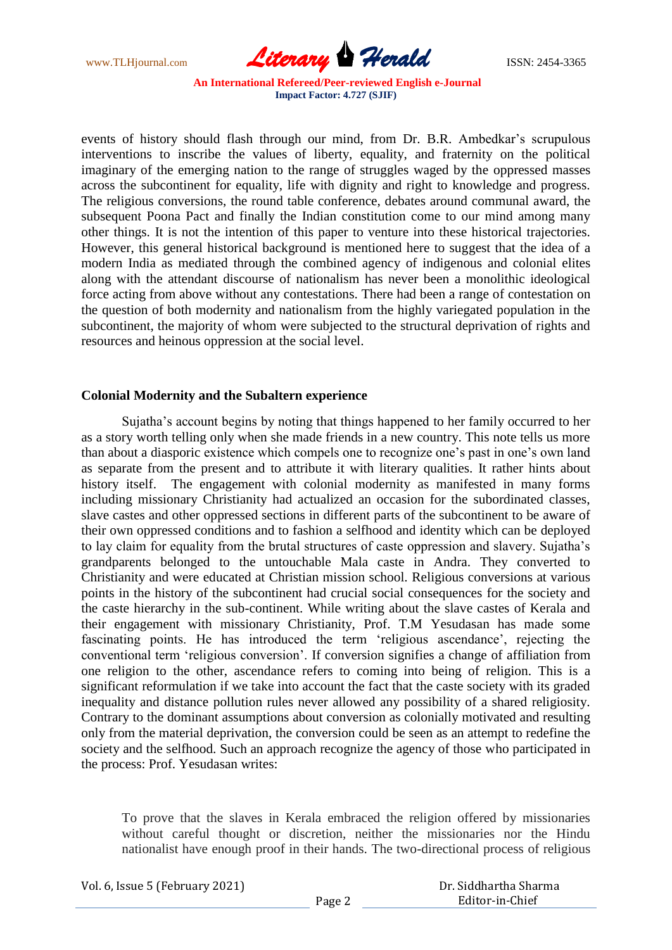www.TLHjournal.com **Literary Herald ISSN: 2454-3365** 

events of history should flash through our mind, from Dr. B.R. Ambedkar's scrupulous interventions to inscribe the values of liberty, equality, and fraternity on the political imaginary of the emerging nation to the range of struggles waged by the oppressed masses across the subcontinent for equality, life with dignity and right to knowledge and progress. The religious conversions, the round table conference, debates around communal award, the subsequent Poona Pact and finally the Indian constitution come to our mind among many other things. It is not the intention of this paper to venture into these historical trajectories. However, this general historical background is mentioned here to suggest that the idea of a modern India as mediated through the combined agency of indigenous and colonial elites along with the attendant discourse of nationalism has never been a monolithic ideological force acting from above without any contestations. There had been a range of contestation on the question of both modernity and nationalism from the highly variegated population in the subcontinent, the majority of whom were subjected to the structural deprivation of rights and resources and heinous oppression at the social level.

## **Colonial Modernity and the Subaltern experience**

Sujatha"s account begins by noting that things happened to her family occurred to her as a story worth telling only when she made friends in a new country. This note tells us more than about a diasporic existence which compels one to recognize one"s past in one"s own land as separate from the present and to attribute it with literary qualities. It rather hints about history itself. The engagement with colonial modernity as manifested in many forms including missionary Christianity had actualized an occasion for the subordinated classes, slave castes and other oppressed sections in different parts of the subcontinent to be aware of their own oppressed conditions and to fashion a selfhood and identity which can be deployed to lay claim for equality from the brutal structures of caste oppression and slavery. Sujatha"s grandparents belonged to the untouchable Mala caste in Andra. They converted to Christianity and were educated at Christian mission school. Religious conversions at various points in the history of the subcontinent had crucial social consequences for the society and the caste hierarchy in the sub-continent. While writing about the slave castes of Kerala and their engagement with missionary Christianity, Prof. T.M Yesudasan has made some fascinating points. He has introduced the term "religious ascendance", rejecting the conventional term "religious conversion". If conversion signifies a change of affiliation from one religion to the other, ascendance refers to coming into being of religion. This is a significant reformulation if we take into account the fact that the caste society with its graded inequality and distance pollution rules never allowed any possibility of a shared religiosity. Contrary to the dominant assumptions about conversion as colonially motivated and resulting only from the material deprivation, the conversion could be seen as an attempt to redefine the society and the selfhood. Such an approach recognize the agency of those who participated in the process: Prof. Yesudasan writes:

To prove that the slaves in Kerala embraced the religion offered by missionaries without careful thought or discretion, neither the missionaries nor the Hindu nationalist have enough proof in their hands. The two-directional process of religious

Vol. 6, Issue 5 (February 2021)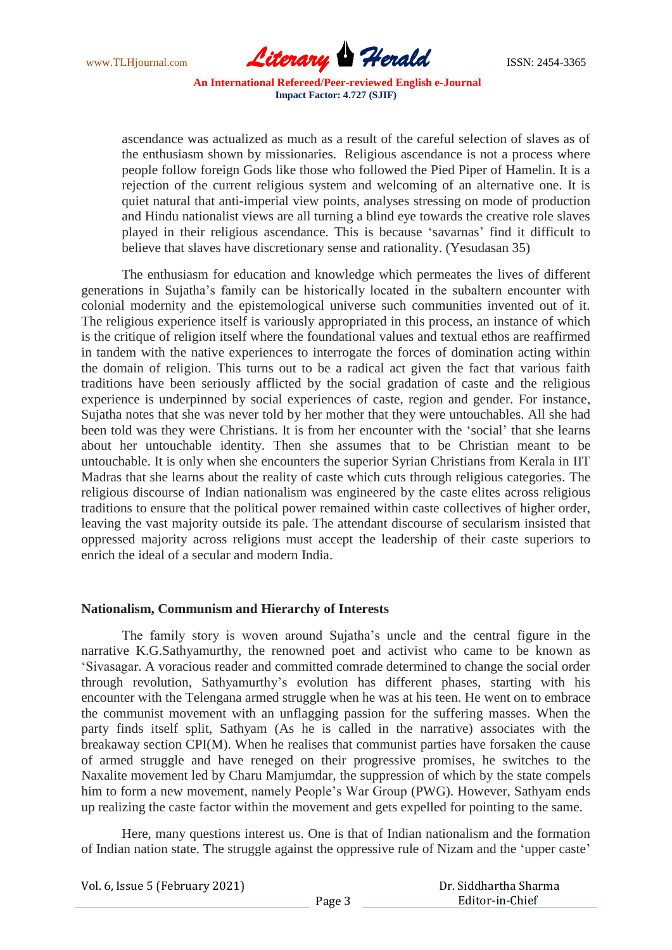www.TLHjournal.com **Literary Herald ISSN: 2454-3365** 

ascendance was actualized as much as a result of the careful selection of slaves as of the enthusiasm shown by missionaries. Religious ascendance is not a process where people follow foreign Gods like those who followed the Pied Piper of Hamelin. It is a rejection of the current religious system and welcoming of an alternative one. It is quiet natural that anti-imperial view points, analyses stressing on mode of production and Hindu nationalist views are all turning a blind eye towards the creative role slaves played in their religious ascendance. This is because "savarnas" find it difficult to believe that slaves have discretionary sense and rationality. (Yesudasan 35)

The enthusiasm for education and knowledge which permeates the lives of different generations in Sujatha"s family can be historically located in the subaltern encounter with colonial modernity and the epistemological universe such communities invented out of it. The religious experience itself is variously appropriated in this process, an instance of which is the critique of religion itself where the foundational values and textual ethos are reaffirmed in tandem with the native experiences to interrogate the forces of domination acting within the domain of religion. This turns out to be a radical act given the fact that various faith traditions have been seriously afflicted by the social gradation of caste and the religious experience is underpinned by social experiences of caste, region and gender. For instance, Sujatha notes that she was never told by her mother that they were untouchables. All she had been told was they were Christians. It is from her encounter with the "social" that she learns about her untouchable identity. Then she assumes that to be Christian meant to be untouchable. It is only when she encounters the superior Syrian Christians from Kerala in IIT Madras that she learns about the reality of caste which cuts through religious categories. The religious discourse of Indian nationalism was engineered by the caste elites across religious traditions to ensure that the political power remained within caste collectives of higher order, leaving the vast majority outside its pale. The attendant discourse of secularism insisted that oppressed majority across religions must accept the leadership of their caste superiors to enrich the ideal of a secular and modern India.

#### **Nationalism, Communism and Hierarchy of Interests**

The family story is woven around Sujatha"s uncle and the central figure in the narrative K.G.Sathyamurthy, the renowned poet and activist who came to be known as "Sivasagar. A voracious reader and committed comrade determined to change the social order through revolution, Sathyamurthy"s evolution has different phases, starting with his encounter with the Telengana armed struggle when he was at his teen. He went on to embrace the communist movement with an unflagging passion for the suffering masses. When the party finds itself split, Sathyam (As he is called in the narrative) associates with the breakaway section CPI(M). When he realises that communist parties have forsaken the cause of armed struggle and have reneged on their progressive promises, he switches to the Naxalite movement led by Charu Mamjumdar, the suppression of which by the state compels him to form a new movement, namely People"s War Group (PWG). However, Sathyam ends up realizing the caste factor within the movement and gets expelled for pointing to the same.

Here, many questions interest us. One is that of Indian nationalism and the formation of Indian nation state. The struggle against the oppressive rule of Nizam and the "upper caste"

Vol. 6, Issue 5 (February 2021)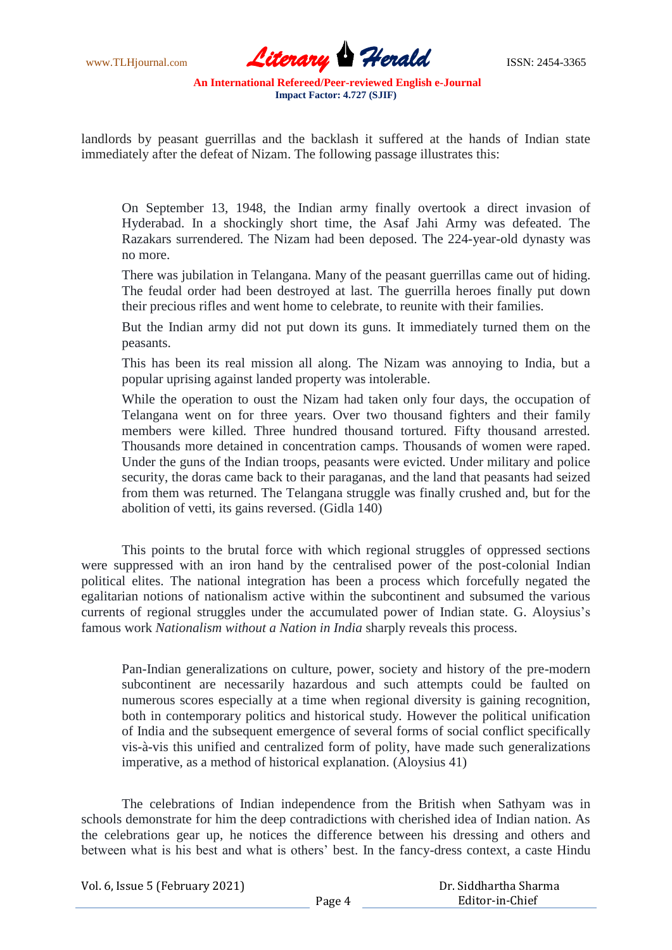www.TLHjournal.com *Literary Herald*ISSN: 2454-3365

landlords by peasant guerrillas and the backlash it suffered at the hands of Indian state immediately after the defeat of Nizam. The following passage illustrates this:

On September 13, 1948, the Indian army finally overtook a direct invasion of Hyderabad. In a shockingly short time, the Asaf Jahi Army was defeated. The Razakars surrendered. The Nizam had been deposed. The 224-year-old dynasty was no more.

There was jubilation in Telangana. Many of the peasant guerrillas came out of hiding. The feudal order had been destroyed at last. The guerrilla heroes finally put down their precious rifles and went home to celebrate, to reunite with their families.

But the Indian army did not put down its guns. It immediately turned them on the peasants.

This has been its real mission all along. The Nizam was annoying to India, but a popular uprising against landed property was intolerable.

While the operation to oust the Nizam had taken only four days, the occupation of Telangana went on for three years. Over two thousand fighters and their family members were killed. Three hundred thousand tortured. Fifty thousand arrested. Thousands more detained in concentration camps. Thousands of women were raped. Under the guns of the Indian troops, peasants were evicted. Under military and police security, the doras came back to their paraganas, and the land that peasants had seized from them was returned. The Telangana struggle was finally crushed and, but for the abolition of vetti, its gains reversed. (Gidla 140)

This points to the brutal force with which regional struggles of oppressed sections were suppressed with an iron hand by the centralised power of the post-colonial Indian political elites. The national integration has been a process which forcefully negated the egalitarian notions of nationalism active within the subcontinent and subsumed the various currents of regional struggles under the accumulated power of Indian state. G. Aloysius"s famous work *Nationalism without a Nation in India* sharply reveals this process.

Pan-Indian generalizations on culture, power, society and history of the pre-modern subcontinent are necessarily hazardous and such attempts could be faulted on numerous scores especially at a time when regional diversity is gaining recognition, both in contemporary politics and historical study. However the political unification of India and the subsequent emergence of several forms of social conflict specifically vis-à-vis this unified and centralized form of polity, have made such generalizations imperative, as a method of historical explanation. (Aloysius 41)

The celebrations of Indian independence from the British when Sathyam was in schools demonstrate for him the deep contradictions with cherished idea of Indian nation. As the celebrations gear up, he notices the difference between his dressing and others and between what is his best and what is others" best. In the fancy-dress context, a caste Hindu

Vol. 6, Issue 5 (February 2021)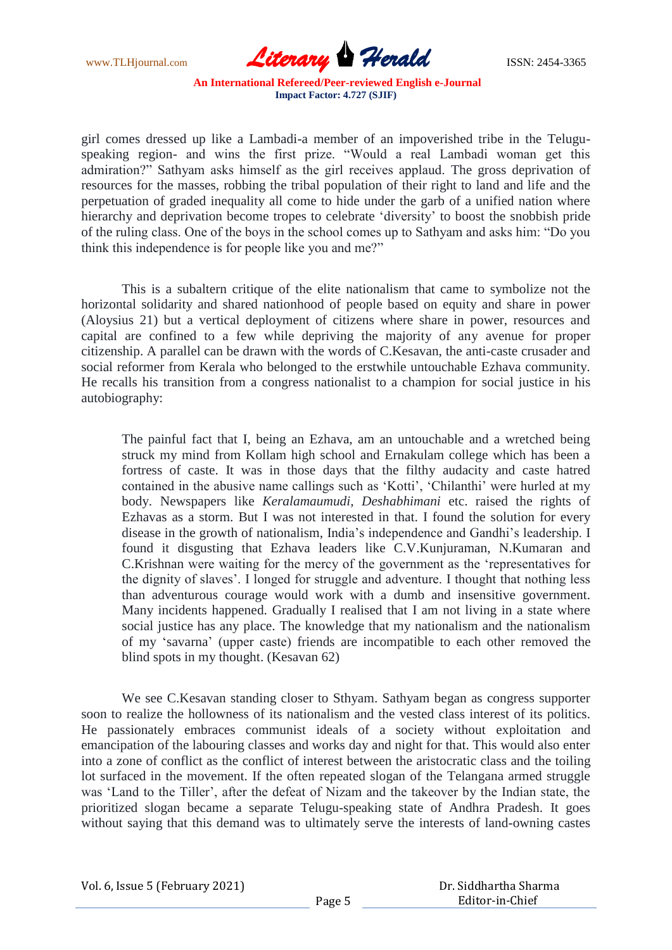www.TLHjournal.com **Literary Herald Herald** ISSN: 2454-3365

girl comes dressed up like a Lambadi-a member of an impoverished tribe in the Teluguspeaking region- and wins the first prize. "Would a real Lambadi woman get this admiration?" Sathyam asks himself as the girl receives applaud. The gross deprivation of resources for the masses, robbing the tribal population of their right to land and life and the perpetuation of graded inequality all come to hide under the garb of a unified nation where hierarchy and deprivation become tropes to celebrate 'diversity' to boost the snobbish pride of the ruling class. One of the boys in the school comes up to Sathyam and asks him: "Do you think this independence is for people like you and me?"

This is a subaltern critique of the elite nationalism that came to symbolize not the horizontal solidarity and shared nationhood of people based on equity and share in power (Aloysius 21) but a vertical deployment of citizens where share in power, resources and capital are confined to a few while depriving the majority of any avenue for proper citizenship. A parallel can be drawn with the words of C.Kesavan, the anti-caste crusader and social reformer from Kerala who belonged to the erstwhile untouchable Ezhava community. He recalls his transition from a congress nationalist to a champion for social justice in his autobiography:

The painful fact that I, being an Ezhava, am an untouchable and a wretched being struck my mind from Kollam high school and Ernakulam college which has been a fortress of caste. It was in those days that the filthy audacity and caste hatred contained in the abusive name callings such as 'Kotti', 'Chilanthi' were hurled at my body. Newspapers like *Keralamaumudi, Deshabhimani* etc. raised the rights of Ezhavas as a storm. But I was not interested in that. I found the solution for every disease in the growth of nationalism, India"s independence and Gandhi"s leadership. I found it disgusting that Ezhava leaders like C.V.Kunjuraman, N.Kumaran and C.Krishnan were waiting for the mercy of the government as the "representatives for the dignity of slaves". I longed for struggle and adventure. I thought that nothing less than adventurous courage would work with a dumb and insensitive government. Many incidents happened. Gradually I realised that I am not living in a state where social justice has any place. The knowledge that my nationalism and the nationalism of my "savarna" (upper caste) friends are incompatible to each other removed the blind spots in my thought. (Kesavan 62)

We see C.Kesavan standing closer to Sthyam. Sathyam began as congress supporter soon to realize the hollowness of its nationalism and the vested class interest of its politics. He passionately embraces communist ideals of a society without exploitation and emancipation of the labouring classes and works day and night for that. This would also enter into a zone of conflict as the conflict of interest between the aristocratic class and the toiling lot surfaced in the movement. If the often repeated slogan of the Telangana armed struggle was "Land to the Tiller", after the defeat of Nizam and the takeover by the Indian state, the prioritized slogan became a separate Telugu-speaking state of Andhra Pradesh. It goes without saying that this demand was to ultimately serve the interests of land-owning castes

Vol. 6, Issue 5 (February 2021)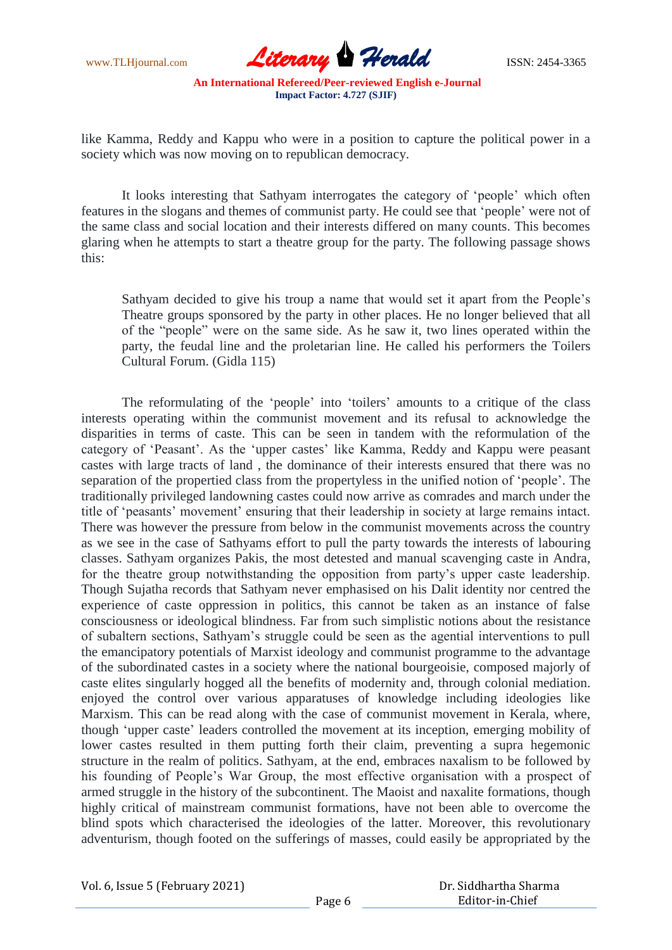

like Kamma, Reddy and Kappu who were in a position to capture the political power in a society which was now moving on to republican democracy.

It looks interesting that Sathyam interrogates the category of "people" which often features in the slogans and themes of communist party. He could see that "people" were not of the same class and social location and their interests differed on many counts. This becomes glaring when he attempts to start a theatre group for the party. The following passage shows this:

Sathyam decided to give his troup a name that would set it apart from the People"s Theatre groups sponsored by the party in other places. He no longer believed that all of the "people" were on the same side. As he saw it, two lines operated within the party, the feudal line and the proletarian line. He called his performers the Toilers Cultural Forum. (Gidla 115)

The reformulating of the 'people' into 'toilers' amounts to a critique of the class interests operating within the communist movement and its refusal to acknowledge the disparities in terms of caste. This can be seen in tandem with the reformulation of the category of "Peasant". As the "upper castes" like Kamma, Reddy and Kappu were peasant castes with large tracts of land , the dominance of their interests ensured that there was no separation of the propertied class from the propertyless in the unified notion of "people". The traditionally privileged landowning castes could now arrive as comrades and march under the title of 'peasants' movement' ensuring that their leadership in society at large remains intact. There was however the pressure from below in the communist movements across the country as we see in the case of Sathyams effort to pull the party towards the interests of labouring classes. Sathyam organizes Pakis, the most detested and manual scavenging caste in Andra, for the theatre group notwithstanding the opposition from party"s upper caste leadership. Though Sujatha records that Sathyam never emphasised on his Dalit identity nor centred the experience of caste oppression in politics, this cannot be taken as an instance of false consciousness or ideological blindness. Far from such simplistic notions about the resistance of subaltern sections, Sathyam"s struggle could be seen as the agential interventions to pull the emancipatory potentials of Marxist ideology and communist programme to the advantage of the subordinated castes in a society where the national bourgeoisie, composed majorly of caste elites singularly hogged all the benefits of modernity and, through colonial mediation. enjoyed the control over various apparatuses of knowledge including ideologies like Marxism. This can be read along with the case of communist movement in Kerala, where, though "upper caste" leaders controlled the movement at its inception, emerging mobility of lower castes resulted in them putting forth their claim, preventing a supra hegemonic structure in the realm of politics. Sathyam, at the end, embraces naxalism to be followed by his founding of People"s War Group, the most effective organisation with a prospect of armed struggle in the history of the subcontinent. The Maoist and naxalite formations, though highly critical of mainstream communist formations, have not been able to overcome the blind spots which characterised the ideologies of the latter. Moreover, this revolutionary adventurism, though footed on the sufferings of masses, could easily be appropriated by the

Vol. 6, Issue 5 (February 2021)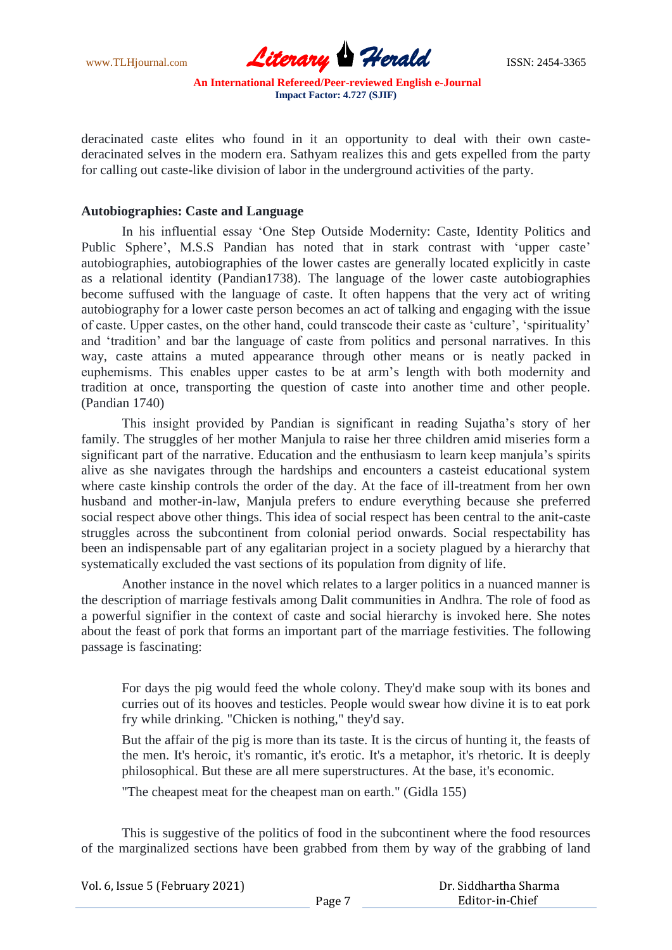www.TLHjournal.com **Literary Herald Herald** ISSN: 2454-3365

deracinated caste elites who found in it an opportunity to deal with their own castederacinated selves in the modern era. Sathyam realizes this and gets expelled from the party for calling out caste-like division of labor in the underground activities of the party.

## **Autobiographies: Caste and Language**

In his influential essay "One Step Outside Modernity: Caste, Identity Politics and Public Sphere', M.S.S Pandian has noted that in stark contrast with 'upper caste' autobiographies, autobiographies of the lower castes are generally located explicitly in caste as a relational identity (Pandian1738). The language of the lower caste autobiographies become suffused with the language of caste. It often happens that the very act of writing autobiography for a lower caste person becomes an act of talking and engaging with the issue of caste. Upper castes, on the other hand, could transcode their caste as "culture", "spirituality" and "tradition" and bar the language of caste from politics and personal narratives. In this way, caste attains a muted appearance through other means or is neatly packed in euphemisms. This enables upper castes to be at arm"s length with both modernity and tradition at once, transporting the question of caste into another time and other people. (Pandian 1740)

This insight provided by Pandian is significant in reading Sujatha"s story of her family. The struggles of her mother Manjula to raise her three children amid miseries form a significant part of the narrative. Education and the enthusiasm to learn keep manjula's spirits alive as she navigates through the hardships and encounters a casteist educational system where caste kinship controls the order of the day. At the face of ill-treatment from her own husband and mother-in-law, Manjula prefers to endure everything because she preferred social respect above other things. This idea of social respect has been central to the anit-caste struggles across the subcontinent from colonial period onwards. Social respectability has been an indispensable part of any egalitarian project in a society plagued by a hierarchy that systematically excluded the vast sections of its population from dignity of life.

Another instance in the novel which relates to a larger politics in a nuanced manner is the description of marriage festivals among Dalit communities in Andhra. The role of food as a powerful signifier in the context of caste and social hierarchy is invoked here. She notes about the feast of pork that forms an important part of the marriage festivities. The following passage is fascinating:

For days the pig would feed the whole colony. They'd make soup with its bones and curries out of its hooves and testicles. People would swear how divine it is to eat pork fry while drinking. "Chicken is nothing," they'd say.

But the affair of the pig is more than its taste. It is the circus of hunting it, the feasts of the men. It's heroic, it's romantic, it's erotic. It's a metaphor, it's rhetoric. It is deeply philosophical. But these are all mere superstructures. At the base, it's economic.

"The cheapest meat for the cheapest man on earth." (Gidla 155)

This is suggestive of the politics of food in the subcontinent where the food resources of the marginalized sections have been grabbed from them by way of the grabbing of land

| Vol. 6, Issue 5 (February 2021) |                   | Dr. Siddhartha Sharma |
|---------------------------------|-------------------|-----------------------|
|                                 | Page <sup>-</sup> | Editor-in-Chief       |